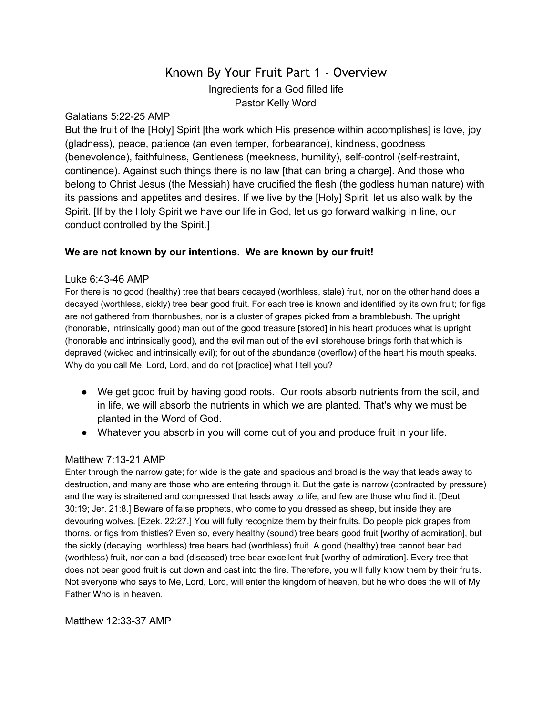# Known By Your Fruit Part 1 - Overview

Ingredients for a God filled life Pastor Kelly Word

### Galatians 5:22-25 AMP

But the fruit of the [Holy] Spirit [the work which His presence within accomplishes] is love, joy (gladness), peace, patience (an even temper, forbearance), kindness, goodness (benevolence), faithfulness, Gentleness (meekness, humility), self-control (self-restraint, continence). Against such things there is no law [that can bring a charge]. And those who belong to Christ Jesus (the Messiah) have crucified the flesh (the godless human nature) with its passions and appetites and desires. If we live by the [Holy] Spirit, let us also walk by the Spirit. [If by the Holy Spirit we have our life in God, let us go forward walking in line, our conduct controlled by the Spirit.]

### **We are not known by our intentions. We are known by our fruit!**

### Luke 6:4346 AMP

For there is no good (healthy) tree that bears decayed (worthless, stale) fruit, nor on the other hand does a decayed (worthless, sickly) tree bear good fruit. For each tree is known and identified by its own fruit; for figs are not gathered from thornbushes, nor is a cluster of grapes picked from a bramblebush. The upright (honorable, intrinsically good) man out of the good treasure [stored] in his heart produces what is upright (honorable and intrinsically good), and the evil man out of the evil storehouse brings forth that which is depraved (wicked and intrinsically evil); for out of the abundance (overflow) of the heart his mouth speaks. Why do you call Me, Lord, Lord, and do not [practice] what I tell you?

- We get good fruit by having good roots. Our roots absorb nutrients from the soil, and in life, we will absorb the nutrients in which we are planted. That's why we must be planted in the Word of God.
- Whatever you absorb in you will come out of you and produce fruit in your life.

### Matthew 7:13-21 AMP

Enter through the narrow gate; for wide is the gate and spacious and broad is the way that leads away to destruction, and many are those who are entering through it. But the gate is narrow (contracted by pressure) and the way is straitened and compressed that leads away to life, and few are those who find it. [Deut. 30:19; Jer. 21:8.] Beware of false prophets, who come to you dressed as sheep, but inside they are devouring wolves. [Ezek. 22:27.] You will fully recognize them by their fruits. Do people pick grapes from thorns, or figs from thistles? Even so, every healthy (sound) tree bears good fruit [worthy of admiration], but the sickly (decaying, worthless) tree bears bad (worthless) fruit. A good (healthy) tree cannot bear bad (worthless) fruit, nor can a bad (diseased) tree bear excellent fruit [worthy of admiration]. Every tree that does not bear good fruit is cut down and cast into the fire. Therefore, you will fully know them by their fruits. Not everyone who says to Me, Lord, Lord, will enter the kingdom of heaven, but he who does the will of My Father Who is in heaven.

Matthew 12:33-37 AMP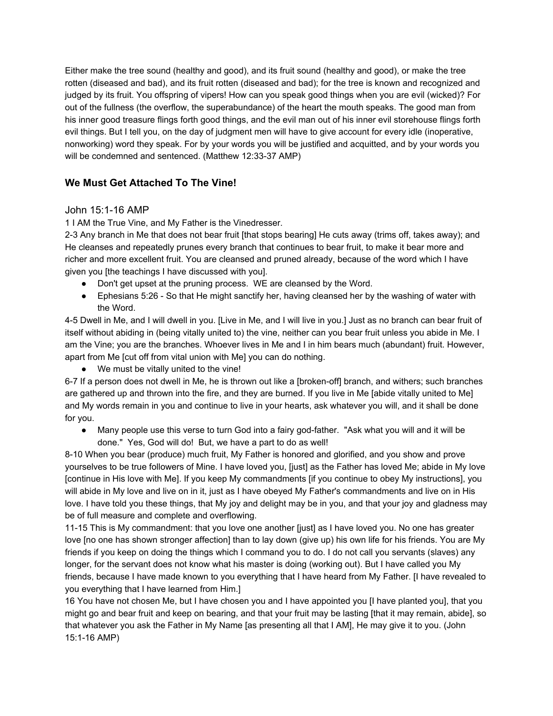Either make the tree sound (healthy and good), and its fruit sound (healthy and good), or make the tree rotten (diseased and bad), and its fruit rotten (diseased and bad); for the tree is known and recognized and judged by its fruit. You offspring of vipers! How can you speak good things when you are evil (wicked)? For out of the fullness (the overflow, the superabundance) of the heart the mouth speaks. The good man from his inner good treasure flings forth good things, and the evil man out of his inner evil storehouse flings forth evil things. But I tell you, on the day of judgment men will have to give account for every idle (inoperative, nonworking) word they speak. For by your words you will be justified and acquitted, and by your words you will be condemned and sentenced. (Matthew 12:33-37 AMP)

## **We Must Get Attached To The Vine!**

### John 15:1-16 AMP

1 I AM the True Vine, and My Father is the Vinedresser.

23 Any branch in Me that does not bear fruit [that stops bearing] He cuts away (trims off, takes away); and He cleanses and repeatedly prunes every branch that continues to bear fruit, to make it bear more and richer and more excellent fruit. You are cleansed and pruned already, because of the word which I have given you [the teachings I have discussed with you].

- Don't get upset at the pruning process. WE are cleansed by the Word.
- Ephesians 5:26 So that He might sanctify her, having cleansed her by the washing of water with the Word.

45 Dwell in Me, and I will dwell in you. [Live in Me, and I will live in you.] Just as no branch can bear fruit of itself without abiding in (being vitally united to) the vine, neither can you bear fruit unless you abide in Me. I am the Vine; you are the branches. Whoever lives in Me and I in him bears much (abundant) fruit. However, apart from Me [cut off from vital union with Me] you can do nothing.

● We must be vitally united to the vine!

6-7 If a person does not dwell in Me, he is thrown out like a [broken-off] branch, and withers; such branches are gathered up and thrown into the fire, and they are burned. If you live in Me [abide vitally united to Me] and My words remain in you and continue to live in your hearts, ask whatever you will, and it shall be done for you.

• Many people use this verse to turn God into a fairy god-father. "Ask what you will and it will be done." Yes, God will do! But, we have a part to do as well!

8-10 When you bear (produce) much fruit, My Father is honored and glorified, and you show and prove yourselves to be true followers of Mine. I have loved you, [just] as the Father has loved Me; abide in My love [continue in His love with Me]. If you keep My commandments [if you continue to obey My instructions], you will abide in My love and live on in it, just as I have obeyed My Father's commandments and live on in His love. I have told you these things, that My joy and delight may be in you, and that your joy and gladness may be of full measure and complete and overflowing.

1115 This is My commandment: that you love one another [just] as I have loved you. No one has greater love [no one has shown stronger affection] than to lay down (give up) his own life for his friends. You are My friends if you keep on doing the things which I command you to do. I do not call you servants (slaves) any longer, for the servant does not know what his master is doing (working out). But I have called you My friends, because I have made known to you everything that I have heard from My Father. [I have revealed to you everything that I have learned from Him.]

16 You have not chosen Me, but I have chosen you and I have appointed you [I have planted you], that you might go and bear fruit and keep on bearing, and that your fruit may be lasting [that it may remain, abide], so that whatever you ask the Father in My Name [as presenting all that I AM], He may give it to you. (John 15:1-16 AMP)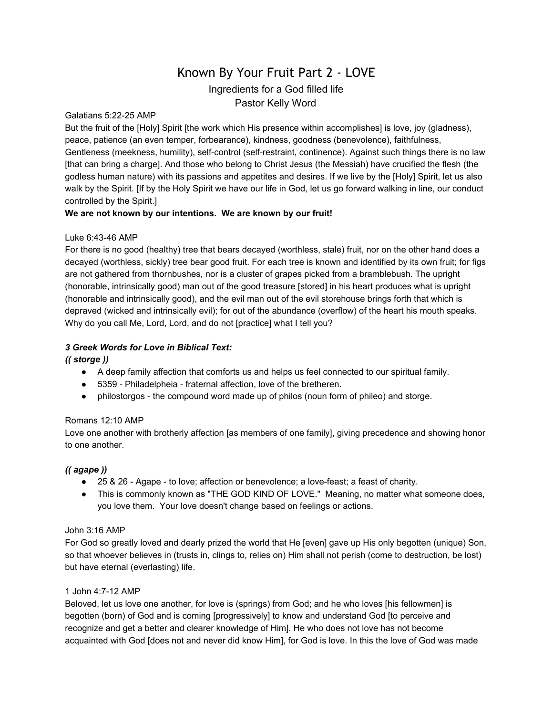# Known By Your Fruit Part 2 - LOVE

Ingredients for a God filled life Pastor Kelly Word

#### Galatians 5:22-25 AMP

But the fruit of the [Holy] Spirit [the work which His presence within accomplishes] is love, joy (gladness), peace, patience (an even temper, forbearance), kindness, goodness (benevolence), faithfulness, Gentleness (meekness, humility), self-control (self-restraint, continence). Against such things there is no law [that can bring a charge]. And those who belong to Christ Jesus (the Messiah) have crucified the flesh (the godless human nature) with its passions and appetites and desires. If we live by the [Holy] Spirit, let us also walk by the Spirit. [If by the Holy Spirit we have our life in God, let us go forward walking in line, our conduct controlled by the Spirit.]

### **We are not known by our intentions. We are known by our fruit!**

#### Luke 6:4346 AMP

For there is no good (healthy) tree that bears decayed (worthless, stale) fruit, nor on the other hand does a decayed (worthless, sickly) tree bear good fruit. For each tree is known and identified by its own fruit; for figs are not gathered from thornbushes, nor is a cluster of grapes picked from a bramblebush. The upright (honorable, intrinsically good) man out of the good treasure [stored] in his heart produces what is upright (honorable and intrinsically good), and the evil man out of the evil storehouse brings forth that which is depraved (wicked and intrinsically evil); for out of the abundance (overflow) of the heart his mouth speaks. Why do you call Me, Lord, Lord, and do not [practice] what I tell you?

#### *3 Greek Words for Love in Biblical Text:*

#### *(( storge ))*

- A deep family affection that comforts us and helps us feel connected to our spiritual family.
- 5359 Philadelpheia fraternal affection, love of the bretheren.
- philostorgos the compound word made up of philos (noun form of phileo) and storge.

#### Romans 12:10 AMP

Love one another with brotherly affection [as members of one family], giving precedence and showing honor to one another.

### *(( agape ))*

- 25 & 26 Agape to love; affection or benevolence; a love-feast; a feast of charity.
- This is commonly known as "THE GOD KIND OF LOVE." Meaning, no matter what someone does, you love them. Your love doesn't change based on feelings or actions.

#### John 3:16 AMP

For God so greatly loved and dearly prized the world that He [even] gave up His only begotten (unique) Son, so that whoever believes in (trusts in, clings to, relies on) Him shall not perish (come to destruction, be lost) but have eternal (everlasting) life.

#### 1 John 4:7-12 AMP

Beloved, let us love one another, for love is (springs) from God; and he who loves [his fellowmen] is begotten (born) of God and is coming [progressively] to know and understand God [to perceive and recognize and get a better and clearer knowledge of Him]. He who does not love has not become acquainted with God [does not and never did know Him], for God is love. In this the love of God was made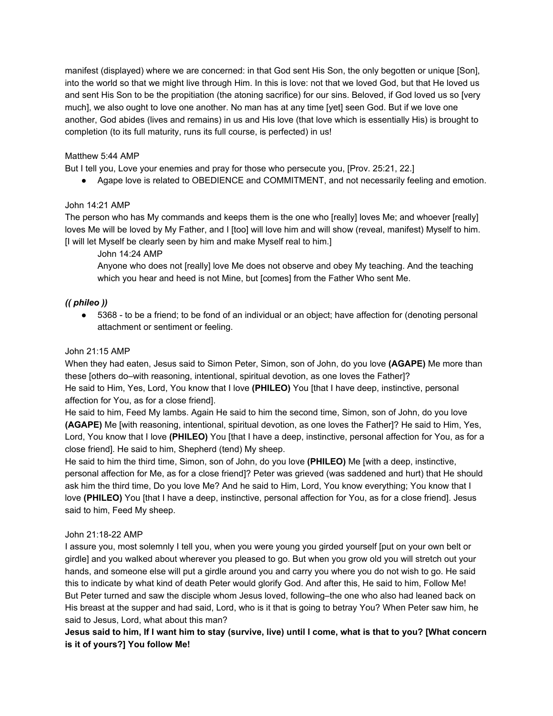manifest (displayed) where we are concerned: in that God sent His Son, the only begotten or unique [Son], into the world so that we might live through Him. In this is love: not that we loved God, but that He loved us and sent His Son to be the propitiation (the atoning sacrifice) for our sins. Beloved, if God loved us so [very much], we also ought to love one another. No man has at any time [yet] seen God. But if we love one another, God abides (lives and remains) in us and His love (that love which is essentially His) is brought to completion (to its full maturity, runs its full course, is perfected) in us!

### Matthew 5:44 AMP

But I tell you, Love your enemies and pray for those who persecute you, [Prov. 25:21, 22.]

● Agape love is related to OBEDIENCE and COMMITMENT, and not necessarily feeling and emotion.

### John 14:21 AMP

The person who has My commands and keeps them is the one who [really] loves Me; and whoever [really] loves Me will be loved by My Father, and I [too] will love him and will show (reveal, manifest) Myself to him. [I will let Myself be clearly seen by him and make Myself real to him.]

John 14:24 AMP

Anyone who does not [really] love Me does not observe and obey My teaching. And the teaching which you hear and heed is not Mine, but [comes] from the Father Who sent Me.

### *(( phileo ))*

● 5368 - to be a friend; to be fond of an individual or an object; have affection for (denoting personal attachment or sentiment or feeling.

### John 21:15 AMP

When they had eaten, Jesus said to Simon Peter, Simon, son of John, do you love (AGAPE) Me more than these [others do–with reasoning, intentional, spiritual devotion, as one loves the Father]? He said to Him, Yes, Lord, You know that I love **(PHILEO)** You [that I have deep, instinctive, personal affection for You, as for a close friend].

He said to him, Feed My lambs. Again He said to him the second time, Simon, son of John, do you love **(AGAPE)**Me [with reasoning, intentional, spiritual devotion, as one loves the Father]? He said to Him, Yes, Lord, You know that I love **(PHILEO)**You [that I have a deep, instinctive, personal affection for You, as for a close friend]. He said to him, Shepherd (tend) My sheep.

He said to him the third time, Simon, son of John, do you love **(PHILEO)**Me [with a deep, instinctive, personal affection for Me, as for a close friend]? Peter was grieved (was saddened and hurt) that He should ask him the third time, Do you love Me? And he said to Him, Lord, You know everything; You know that I love **(PHILEO)** You [that I have a deep, instinctive, personal affection for You, as for a close friend]. Jesus said to him, Feed My sheep.

### John 21:18-22 AMP

I assure you, most solemnly I tell you, when you were young you girded yourself [put on your own belt or girdle] and you walked about wherever you pleased to go. But when you grow old you will stretch out your hands, and someone else will put a girdle around you and carry you where you do not wish to go. He said this to indicate by what kind of death Peter would glorify God. And after this, He said to him, Follow Me! But Peter turned and saw the disciple whom Jesus loved, following–the one who also had leaned back on His breast at the supper and had said, Lord, who is it that is going to betray You? When Peter saw him, he said to Jesus, Lord, what about this man?

Jesus said to him, If I want him to stay (survive, live) until I come, what is that to you? [What concern **is it of yours?] You follow Me!**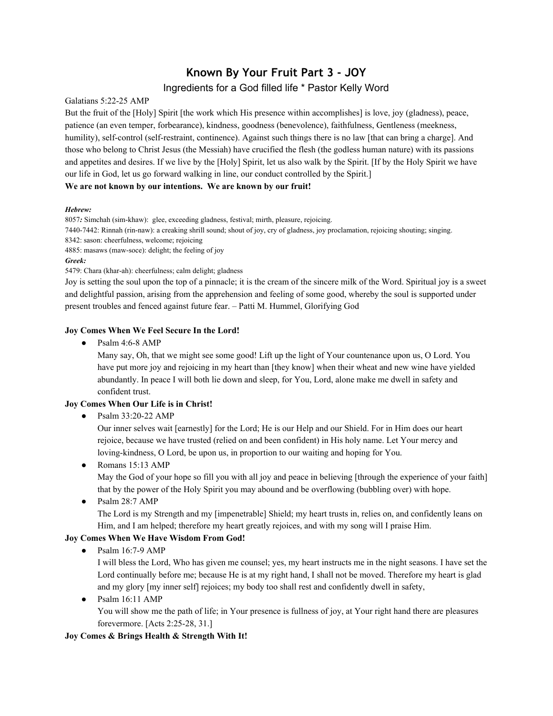# **Known By Your Fruit Part 3 - JOY**

### Ingredients for a God filled life \* Pastor Kelly Word

#### Galatians 5:22-25 AMP

But the fruit of the [Holy] Spirit [the work which His presence within accomplishes] is love, joy (gladness), peace, patience (an even temper, forbearance), kindness, goodness (benevolence), faithfulness, Gentleness (meekness, humility), self-control (self-restraint, continence). Against such things there is no law [that can bring a charge]. And those who belong to Christ Jesus (the Messiah) have crucified the flesh (the godless human nature) with its passions and appetites and desires. If we live by the [Holy] Spirit, let us also walk by the Spirit. [If by the Holy Spirit we have our life in God, let us go forward walking in line, our conduct controlled by the Spirit.]

#### **We are not known by our intentions. We are known by our fruit!**

#### *Hebrew:*

8057: Simchah (sim-khaw): glee, exceeding gladness, festival; mirth, pleasure, rejoicing.

7440-7442: Rinnah (rin-naw): a creaking shrill sound; shout of joy, cry of gladness, joy proclamation, rejoicing shouting; singing.

8342: sason: cheerfulness, welcome; rejoicing

4885: masaws (mawsoce): delight; the feeling of joy

#### *Greek:*

5479: Chara (khar-ah): cheerfulness; calm delight; gladness

Joy is setting the soul upon the top of a pinnacle; it is the cream of the sincere milk of the Word. Spiritual joy is a sweet and delightful passion, arising from the apprehension and feeling of some good, whereby the soul is supported under present troubles and fenced against future fear. – Patti M. Hummel, Glorifying God

#### **Joy Comes When We Feel Secure In the Lord!**

 $\bullet$  Psalm 4:6-8 AMP

Many say, Oh, that we might see some good! Lift up the light of Your countenance upon us, O Lord. You have put more joy and rejoicing in my heart than [they know] when their wheat and new wine have yielded abundantly. In peace I will both lie down and sleep, for You, Lord, alone make me dwell in safety and confident trust.

#### **Joy Comes When Our Life is in Christ!**

 $\bullet$  Psalm 33:20-22 AMP

Our inner selves wait [earnestly] for the Lord; He is our Help and our Shield. For in Him does our heart rejoice, because we have trusted (relied on and been confident) in His holy name. Let Your mercy and loving-kindness, O Lord, be upon us, in proportion to our waiting and hoping for You.

• Romans 15:13 AMP

May the God of your hope so fill you with all joy and peace in believing [through the experience of your faith] that by the power of the Holy Spirit you may abound and be overflowing (bubbling over) with hope.

● Psalm 28:7 AMP

The Lord is my Strength and my [impenetrable] Shield; my heart trusts in, relies on, and confidently leans on Him, and I am helped; therefore my heart greatly rejoices, and with my song will I praise Him.

### **Joy Comes When We Have Wisdom From God!**

 $\bullet$  Psalm 16:7-9 AMP

I will bless the Lord, Who has given me counsel; yes, my heart instructs me in the night seasons. I have set the Lord continually before me; because He is at my right hand, I shall not be moved. Therefore my heart is glad and my glory [my inner self] rejoices; my body too shall rest and confidently dwell in safety,

 $\bullet$  Psalm 16:11 AMP

You will show me the path of life; in Your presence is fullness of joy, at Your right hand there are pleasures forevermore.  $[Acts 2:25-28, 31.]$ 

### **Joy Comes & Brings Health & Strength With It!**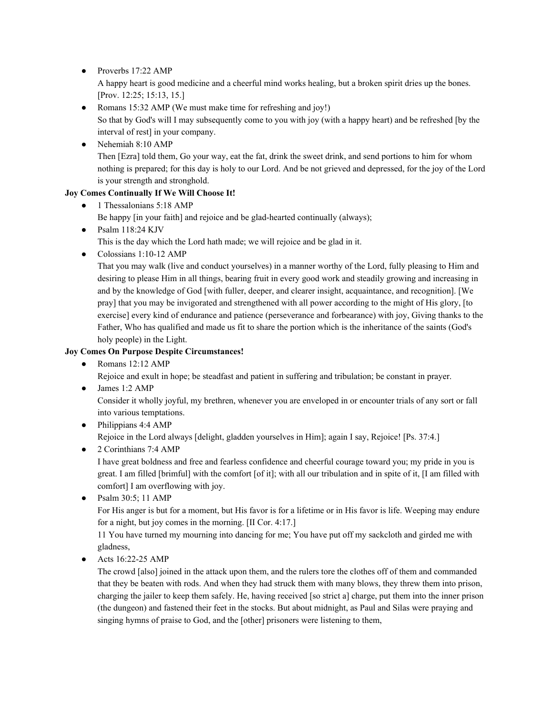• Proverbs 17:22 AMP

A happy heart is good medicine and a cheerful mind works healing, but a broken spirit dries up the bones. [Prov. 12:25; 15:13, 15.]

- Romans 15:32 AMP (We must make time for refreshing and joy!) So that by God's will I may subsequently come to you with joy (with a happy heart) and be refreshed [by the interval of rest] in your company.
- Nehemiah 8:10 AMP Then [Ezra] told them, Go your way, eat the fat, drink the sweet drink, and send portions to him for whom nothing is prepared; for this day is holy to our Lord. And be not grieved and depressed, for the joy of the Lord is your strength and stronghold.

### **Joy Comes Continually If We Will Choose It!**

- 1 Thessalonians 5:18 AMP
	- Be happy [in your faith] and rejoice and be glad-hearted continually (always);
- Psalm 118:24 KJV

This is the day which the Lord hath made; we will rejoice and be glad in it.

 $\bullet$  Colossians 1:10-12 AMP

That you may walk (live and conduct yourselves) in a manner worthy of the Lord, fully pleasing to Him and desiring to please Him in all things, bearing fruit in every good work and steadily growing and increasing in and by the knowledge of God [with fuller, deeper, and clearer insight, acquaintance, and recognition]. [We pray] that you may be invigorated and strengthened with all power according to the might of His glory, [to exercise] every kind of endurance and patience (perseverance and forbearance) with joy, Giving thanks to the Father, Who has qualified and made us fit to share the portion which is the inheritance of the saints (God's holy people) in the Light.

### **Joy Comes On Purpose Despite Circumstances!**

● Romans 12:12 AMP

Rejoice and exult in hope; be steadfast and patient in suffering and tribulation; be constant in prayer.

● James 1:2 AMP

Consider it wholly joyful, my brethren, whenever you are enveloped in or encounter trials of any sort or fall into various temptations.

- Philippians 4:4 AMP Rejoice in the Lord always [delight, gladden yourselves in Him]; again I say, Rejoice! [Ps. 37:4.]
- 2 Corinthians 7:4 AMP

I have great boldness and free and fearless confidence and cheerful courage toward you; my pride in you is great. I am filled [brimful] with the comfort [of it]; with all our tribulation and in spite of it, [I am filled with comfort] I am overflowing with joy.

● Psalm 30:5; 11 AMP

For His anger is but for a moment, but His favor is for a lifetime or in His favor is life. Weeping may endure for a night, but joy comes in the morning. [II Cor. 4:17.]

11 You have turned my mourning into dancing for me; You have put off my sackcloth and girded me with gladness,

 $\bullet$  Acts 16:22-25 AMP

The crowd [also] joined in the attack upon them, and the rulers tore the clothes off of them and commanded that they be beaten with rods. And when they had struck them with many blows, they threw them into prison, charging the jailer to keep them safely. He, having received [so strict a] charge, put them into the inner prison (the dungeon) and fastened their feet in the stocks. But about midnight, as Paul and Silas were praying and singing hymns of praise to God, and the [other] prisoners were listening to them,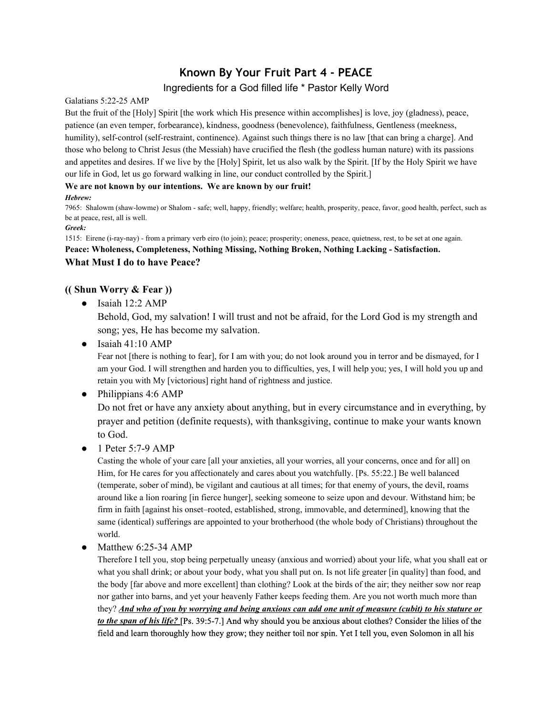## **Known By Your Fruit Part 4 - PEACE**

### Ingredients for a God filled life \* Pastor Kelly Word

Galatians 5:22-25 AMP

But the fruit of the [Holy] Spirit [the work which His presence within accomplishes] is love, joy (gladness), peace, patience (an even temper, forbearance), kindness, goodness (benevolence), faithfulness, Gentleness (meekness, humility), self-control (self-restraint, continence). Against such things there is no law [that can bring a charge]. And those who belong to Christ Jesus (the Messiah) have crucified the flesh (the godless human nature) with its passions and appetites and desires. If we live by the [Holy] Spirit, let us also walk by the Spirit. [If by the Holy Spirit we have our life in God, let us go forward walking in line, our conduct controlled by the Spirit.]

#### **We are not known by our intentions. We are known by our fruit!** *Hebrew:*

7965: Shalowm (shaw-lowme) or Shalom - safe; well, happy, friendly; welfare; health, prosperity, peace, favor, good health, perfect, such as be at peace, rest, all is well.

#### *Greek:*

1515: Eirene (iraynay) from a primary verb eiro (to join); peace; prosperity; oneness, peace, quietness, rest, to be set at one again. **Peace: Wholeness, Completeness, Nothing Missing, Nothing Broken, Nothing Lacking Satisfaction.**

### **What Must I do to have Peace?**

### **(( Shun Worry & Fear ))**

● Isaiah 12:2 AMP

Behold, God, my salvation! I will trust and not be afraid, for the Lord God is my strength and song; yes, He has become my salvation.

 $\bullet$  Isaiah 41:10 AMP

Fear not [there is nothing to fear], for I am with you; do not look around you in terror and be dismayed, for I am your God. I will strengthen and harden you to difficulties, yes, I will help you; yes, I will hold you up and retain you with My [victorious] right hand of rightness and justice.

● Philippians 4:6 AMP

Do not fret or have any anxiety about anything, but in every circumstance and in everything, by prayer and petition (definite requests), with thanksgiving, continue to make your wants known to God.

 $\bullet$  1 Peter 5:7-9 AMP

Casting the whole of your care [all your anxieties, all your worries, all your concerns, once and for all] on Him, for He cares for you affectionately and cares about you watchfully. [Ps. 55:22.] Be well balanced (temperate, sober of mind), be vigilant and cautious at all times; for that enemy of yours, the devil, roams around like a lion roaring [in fierce hunger], seeking someone to seize upon and devour. Withstand him; be firm in faith [against his onset–rooted, established, strong, immovable, and determined], knowing that the same (identical) sufferings are appointed to your brotherhood (the whole body of Christians) throughout the world.

• Matthew  $6:25-34$  AMP

Therefore I tell you, stop being perpetually uneasy (anxious and worried) about your life, what you shall eat or what you shall drink; or about your body, what you shall put on. Is not life greater [in quality] than food, and the body [far above and more excellent] than clothing? Look at the birds of the air; they neither sow nor reap nor gather into barns, and yet your heavenly Father keeps feeding them. Are you not worth much more than they? And who of you by worrying and being anxious can add one unit of measure (cubit) to his stature or *to the span of his life?* [Ps. 39:57.] And why should you be anxious about clothes? Consider the lilies of the field and learn thoroughly how they grow; they neither toil nor spin. Yet I tell you, even Solomon in all his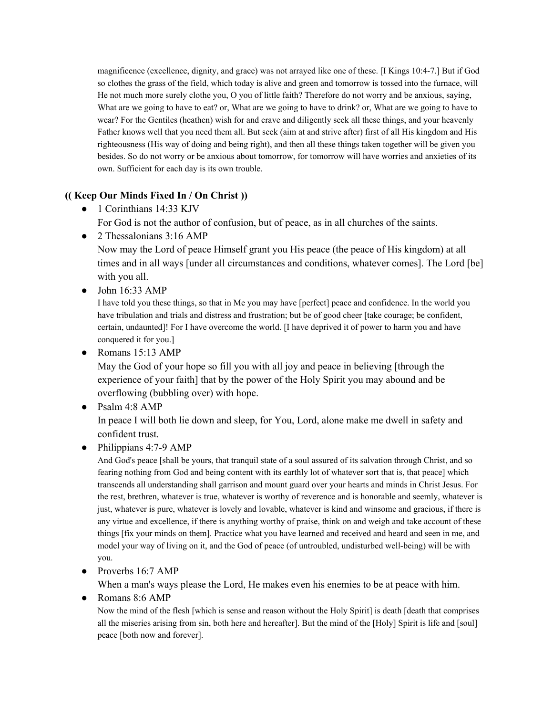magnificence (excellence, dignity, and grace) was not arrayed like one of these. [I Kings 10:47.] But if God so clothes the grass of the field, which today is alive and green and tomorrow is tossed into the furnace, will He not much more surely clothe you, O you of little faith? Therefore do not worry and be anxious, saying, What are we going to have to eat? or, What are we going to have to drink? or, What are we going to have to wear? For the Gentiles (heathen) wish for and crave and diligently seek all these things, and your heavenly Father knows well that you need them all. But seek (aim at and strive after) first of all His kingdom and His righteousness (His way of doing and being right), and then all these things taken together will be given you besides. So do not worry or be anxious about tomorrow, for tomorrow will have worries and anxieties of its own. Sufficient for each day is its own trouble.

## **(( Keep Our Minds Fixed In / On Christ ))**

• 1 Corinthians 14:33 KJV

For God is not the author of confusion, but of peace, as in all churches of the saints.

- 2 Thessalonians 3:16 AMP Now may the Lord of peace Himself grant you His peace (the peace of His kingdom) at all times and in all ways [under all circumstances and conditions, whatever comes]. The Lord [be] with you all.
- $\bullet$  John 16:33 AMP

I have told you these things, so that in Me you may have [perfect] peace and confidence. In the world you have tribulation and trials and distress and frustration; but be of good cheer [take courage; be confident, certain, undaunted]! For I have overcome the world. [I have deprived it of power to harm you and have conquered it for you.]

● Romans 15:13 AMP

May the God of your hope so fill you with all joy and peace in believing [through the experience of your faith] that by the power of the Holy Spirit you may abound and be overflowing (bubbling over) with hope.

● Psalm 4:8 AMP

In peace I will both lie down and sleep, for You, Lord, alone make me dwell in safety and confident trust.

 $\bullet$  Philippians 4:7-9 AMP

And God's peace [shall be yours, that tranquil state of a soul assured of its salvation through Christ, and so fearing nothing from God and being content with its earthly lot of whatever sort that is, that peace] which transcends all understanding shall garrison and mount guard over your hearts and minds in Christ Jesus. For the rest, brethren, whatever is true, whatever is worthy of reverence and is honorable and seemly, whatever is just, whatever is pure, whatever is lovely and lovable, whatever is kind and winsome and gracious, if there is any virtue and excellence, if there is anything worthy of praise, think on and weigh and take account of these things [fix your minds on them]. Practice what you have learned and received and heard and seen in me, and model your way of living on it, and the God of peace (of untroubled, undisturbed well-being) will be with you.

• Proverbs 16:7 AMP

When a man's ways please the Lord, He makes even his enemies to be at peace with him.

● Romans 8:6 AMP

Now the mind of the flesh [which is sense and reason without the Holy Spirit] is death [death that comprises all the miseries arising from sin, both here and hereafter]. But the mind of the [Holy] Spirit is life and [soul] peace [both now and forever].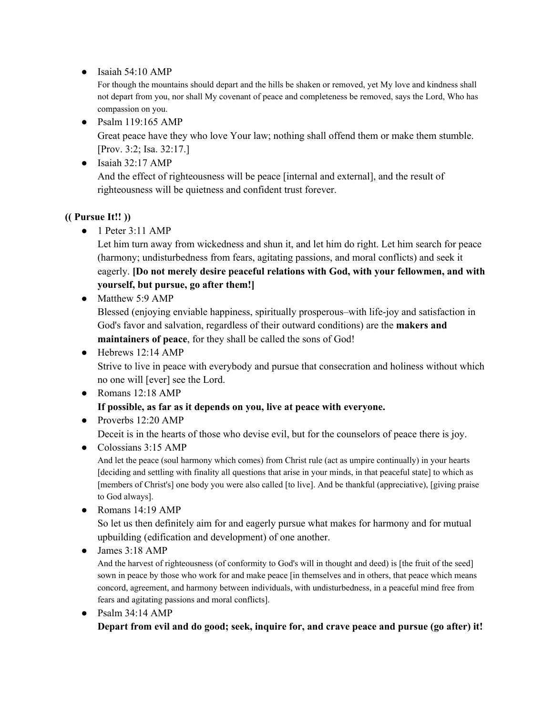● Isaiah 54:10 AMP

For though the mountains should depart and the hills be shaken or removed, yet My love and kindness shall not depart from you, nor shall My covenant of peace and completeness be removed, says the Lord, Who has compassion on you.

• Psalm 119:165 AMP

Great peace have they who love Your law; nothing shall offend them or make them stumble. [Prov. 3:2; Isa. 32:17.]

 $\bullet$  Isaiah 32:17 AMP

And the effect of righteousness will be peace [internal and external], and the result of righteousness will be quietness and confident trust forever.

## **(( Pursue It!! ))**

 $\bullet$  1 Peter 3:11 AMP

Let him turn away from wickedness and shun it, and let him do right. Let him search for peace (harmony; undisturbedness from fears, agitating passions, and moral conflicts) and seek it eagerly. **[Do not merely desire peaceful relations with God, with your fellowmen, and with yourself, but pursue, go after them!]**

• Matthew 5:9 AMP

Blessed (enjoying enviable happiness, spiritually prosperous–with life-joy and satisfaction in God's favor and salvation, regardless of their outward conditions) are the **makers and maintainers of peace**, for they shall be called the sons of God!

- Hebrews 12:14 AMP Strive to live in peace with everybody and pursue that consecration and holiness without which no one will [ever] see the Lord.
- Romans 12:18 AMP

## **If possible, as far as it depends on you, live at peace with everyone.**

• Proverbs 12:20 AMP

Deceit is in the hearts of those who devise evil, but for the counselors of peace there is joy.

● Colossians 3:15 AMP

And let the peace (soul harmony which comes) from Christ rule (act as umpire continually) in your hearts [deciding and settling with finality all questions that arise in your minds, in that peaceful state] to which as [members of Christ's] one body you were also called [to live]. And be thankful (appreciative), [giving praise] to God always].

● Romans 14:19 AMP

So let us then definitely aim for and eagerly pursue what makes for harmony and for mutual upbuilding (edification and development) of one another.

 $\bullet$  James 3:18 AMP

And the harvest of righteousness (of conformity to God's will in thought and deed) is [the fruit of the seed] sown in peace by those who work for and make peace [in themselves and in others, that peace which means concord, agreement, and harmony between individuals, with undisturbedness, in a peaceful mind free from fears and agitating passions and moral conflicts].

 $\bullet$  Psalm 34:14 AMP

**Depart from evil and do good; seek, inquire for, and crave peace and pursue (go after) it!**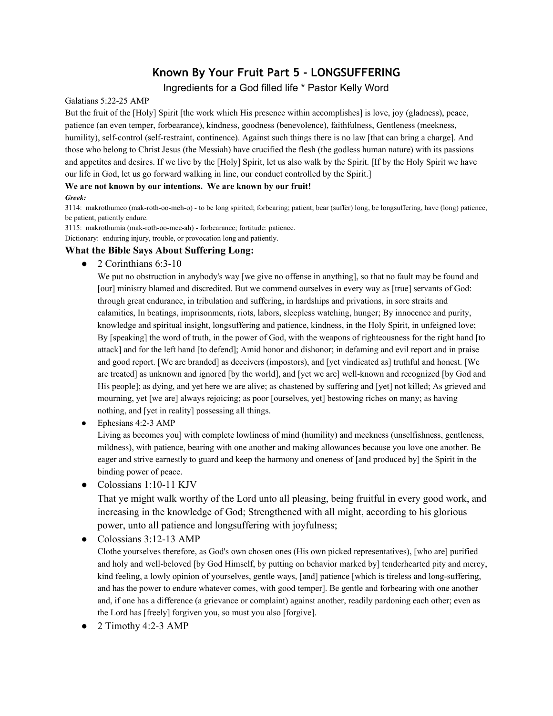## **Known By Your Fruit Part 5 - LONGSUFFERING**

### Ingredients for a God filled life \* Pastor Kelly Word

#### Galatians 5:22-25 AMP

But the fruit of the [Holy] Spirit [the work which His presence within accomplishes] is love, joy (gladness), peace, patience (an even temper, forbearance), kindness, goodness (benevolence), faithfulness, Gentleness (meekness, humility), self-control (self-restraint, continence). Against such things there is no law [that can bring a charge]. And those who belong to Christ Jesus (the Messiah) have crucified the flesh (the godless human nature) with its passions and appetites and desires. If we live by the [Holy] Spirit, let us also walk by the Spirit. [If by the Holy Spirit we have our life in God, let us go forward walking in line, our conduct controlled by the Spirit.]

#### **We are not known by our intentions. We are known by our fruit!** *Greek:*

3114: makrothumeo (mak-roth-oo-meh-o) - to be long spirited; forbearing; patient; bear (suffer) long, be longsuffering, have (long) patience, be patient, patiently endure.

3115: makrothumia (mak-roth-oo-mee-ah) - forbearance; fortitude: patience.

Dictionary: enduring injury, trouble, or provocation long and patiently.

#### **What the Bible Says About Suffering Long:**

 $\bullet$  2 Corinthians 6:3-10

We put no obstruction in anybody's way [we give no offense in anything], so that no fault may be found and [our] ministry blamed and discredited. But we commend ourselves in every way as [true] servants of God: through great endurance, in tribulation and suffering, in hardships and privations, in sore straits and calamities, In beatings, imprisonments, riots, labors, sleepless watching, hunger; By innocence and purity, knowledge and spiritual insight, longsuffering and patience, kindness, in the Holy Spirit, in unfeigned love; By [speaking] the word of truth, in the power of God, with the weapons of righteousness for the right hand [to attack] and for the left hand [to defend]; Amid honor and dishonor; in defaming and evil report and in praise and good report. [We are branded] as deceivers (impostors), and [yet vindicated as] truthful and honest. [We are treated] as unknown and ignored [by the world], and [yet we are] well-known and recognized [by God and His people]; as dying, and yet here we are alive; as chastened by suffering and [yet] not killed; As grieved and mourning, yet [we are] always rejoicing; as poor [ourselves, yet] bestowing riches on many; as having nothing, and [yet in reality] possessing all things.

Ephesians 4:2-3 AMP

Living as becomes you] with complete lowliness of mind (humility) and meekness (unselfishness, gentleness, mildness), with patience, bearing with one another and making allowances because you love one another. Be eager and strive earnestly to guard and keep the harmony and oneness of [and produced by] the Spirit in the binding power of peace.

 $\bullet$  Colossians 1:10-11 KJV

That ye might walk worthy of the Lord unto all pleasing, being fruitful in every good work, and increasing in the knowledge of God; Strengthened with all might, according to his glorious power, unto all patience and longsuffering with joyfulness;

 $\bullet$  Colossians 3:12-13 AMP

Clothe yourselves therefore, as God's own chosen ones (His own picked representatives), [who are] purified and holy and well-beloved [by God Himself, by putting on behavior marked by] tenderhearted pity and mercy, kind feeling, a lowly opinion of yourselves, gentle ways, [and] patience [which is tireless and long-suffering, and has the power to endure whatever comes, with good temper]. Be gentle and forbearing with one another and, if one has a difference (a grievance or complaint) against another, readily pardoning each other; even as the Lord has [freely] forgiven you, so must you also [forgive].

2 Timothy 4:2-3 AMP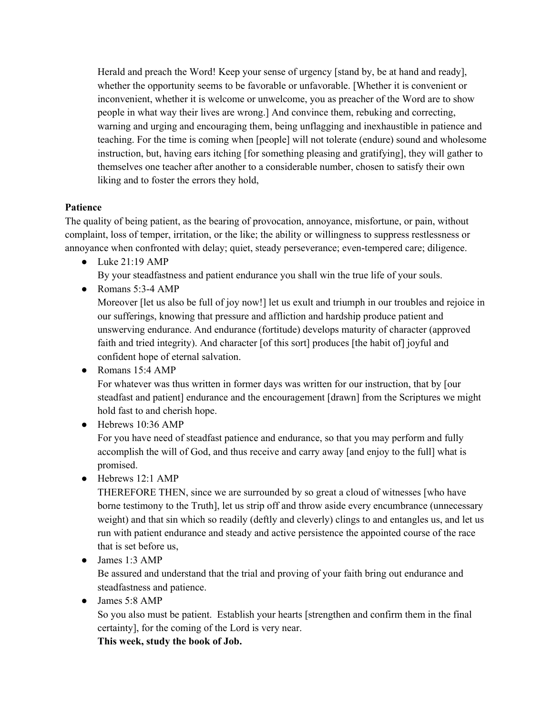Herald and preach the Word! Keep your sense of urgency [stand by, be at hand and ready], whether the opportunity seems to be favorable or unfavorable. [Whether it is convenient or inconvenient, whether it is welcome or unwelcome, you as preacher of the Word are to show people in what way their lives are wrong.] And convince them, rebuking and correcting, warning and urging and encouraging them, being unflagging and inexhaustible in patience and teaching. For the time is coming when [people] will not tolerate (endure) sound and wholesome instruction, but, having ears itching [for something pleasing and gratifying], they will gather to themselves one teacher after another to a considerable number, chosen to satisfy their own liking and to foster the errors they hold,

### **Patience**

The quality of being patient, as the bearing of provocation, annoyance, misfortune, or pain, without complaint, loss of temper, irritation, or the like; the ability or willingness to suppress restlessness or annoyance when confronted with delay; quiet, steady perseverance; even-tempered care; diligence.

- $\bullet$  Luke 21:19 AMP By your steadfastness and patient endurance you shall win the true life of your souls.
- Romans  $5:3-4$  AMP

Moreover [let us also be full of joy now!] let us exult and triumph in our troubles and rejoice in our sufferings, knowing that pressure and affliction and hardship produce patient and unswerving endurance. And endurance (fortitude) develops maturity of character (approved faith and tried integrity). And character [of this sort] produces [the habit of] joyful and confident hope of eternal salvation.

● Romans 15:4 AMP

For whatever was thus written in former days was written for our instruction, that by [our steadfast and patient] endurance and the encouragement [drawn] from the Scriptures we might hold fast to and cherish hope.

 $\bullet$  Hebrews 10:36 AMP

For you have need of steadfast patience and endurance, so that you may perform and fully accomplish the will of God, and thus receive and carry away [and enjoy to the full] what is promised.

● Hebrews 12:1 AMP

THEREFORE THEN, since we are surrounded by so great a cloud of witnesses [who have borne testimony to the Truth], let us strip off and throw aside every encumbrance (unnecessary weight) and that sin which so readily (deftly and cleverly) clings to and entangles us, and let us run with patient endurance and steady and active persistence the appointed course of the race that is set before us,

 $\bullet$  James 1:3 AMP

Be assured and understand that the trial and proving of your faith bring out endurance and steadfastness and patience.

● James 5:8 AMP

So you also must be patient. Establish your hearts [strengthen and confirm them in the final certainty], for the coming of the Lord is very near.

**This week, study the book of Job.**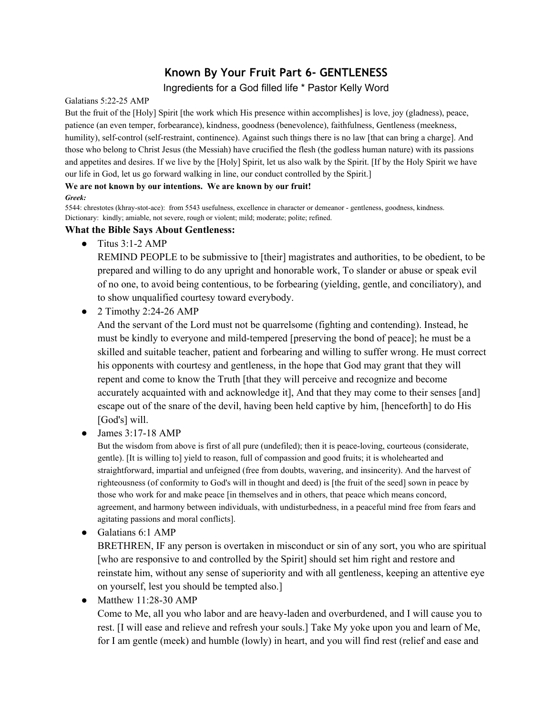# **Known By Your Fruit Part 6- GENTLENESS**

### Ingredients for a God filled life \* Pastor Kelly Word

#### Galatians 5:22-25 AMP

But the fruit of the [Holy] Spirit [the work which His presence within accomplishes] is love, joy (gladness), peace, patience (an even temper, forbearance), kindness, goodness (benevolence), faithfulness, Gentleness (meekness, humility), self-control (self-restraint, continence). Against such things there is no law [that can bring a charge]. And those who belong to Christ Jesus (the Messiah) have crucified the flesh (the godless human nature) with its passions and appetites and desires. If we live by the [Holy] Spirit, let us also walk by the Spirit. [If by the Holy Spirit we have our life in God, let us go forward walking in line, our conduct controlled by the Spirit.]

#### **We are not known by our intentions. We are known by our fruit!** *Greek:*

5544: chrestotes (khraystotace): from 5543 usefulness, excellence in character or demeanor gentleness, goodness, kindness. Dictionary: kindly; amiable, not severe, rough or violent; mild; moderate; polite; refined.

### **What the Bible Says About Gentleness:**

 $\bullet$  Titus 3:1-2 AMP

REMIND PEOPLE to be submissive to [their] magistrates and authorities, to be obedient, to be prepared and willing to do any upright and honorable work, To slander or abuse or speak evil of no one, to avoid being contentious, to be forbearing (yielding, gentle, and conciliatory), and to show unqualified courtesy toward everybody.

 $\bullet$  2 Timothy 2:24-26 AMP

And the servant of the Lord must not be quarrelsome (fighting and contending). Instead, he must be kindly to everyone and mild-tempered [preserving the bond of peace]; he must be a skilled and suitable teacher, patient and forbearing and willing to suffer wrong. He must correct his opponents with courtesy and gentleness, in the hope that God may grant that they will repent and come to know the Truth [that they will perceive and recognize and become accurately acquainted with and acknowledge it], And that they may come to their senses [and] escape out of the snare of the devil, having been held captive by him, [henceforth] to do His [God's] will.

 $\bullet$  James 3:17-18 AMP

But the wisdom from above is first of all pure (undefiled); then it is peace-loving, courteous (considerate, gentle). [It is willing to] yield to reason, full of compassion and good fruits; it is wholehearted and straightforward, impartial and unfeigned (free from doubts, wavering, and insincerity). And the harvest of righteousness (of conformity to God's will in thought and deed) is [the fruit of the seed] sown in peace by those who work for and make peace [in themselves and in others, that peace which means concord, agreement, and harmony between individuals, with undisturbedness, in a peaceful mind free from fears and agitating passions and moral conflicts].

● Galatians 6:1 AMP

BRETHREN, IF any person is overtaken in misconduct or sin of any sort, you who are spiritual [who are responsive to and controlled by the Spirit] should set him right and restore and reinstate him, without any sense of superiority and with all gentleness, keeping an attentive eye on yourself, lest you should be tempted also.]

 $\bullet$  Matthew 11:28-30 AMP

Come to Me, all you who labor and are heavyladen and overburdened, and I will cause you to rest. [I will ease and relieve and refresh your souls.] Take My yoke upon you and learn of Me, for I am gentle (meek) and humble (lowly) in heart, and you will find rest (relief and ease and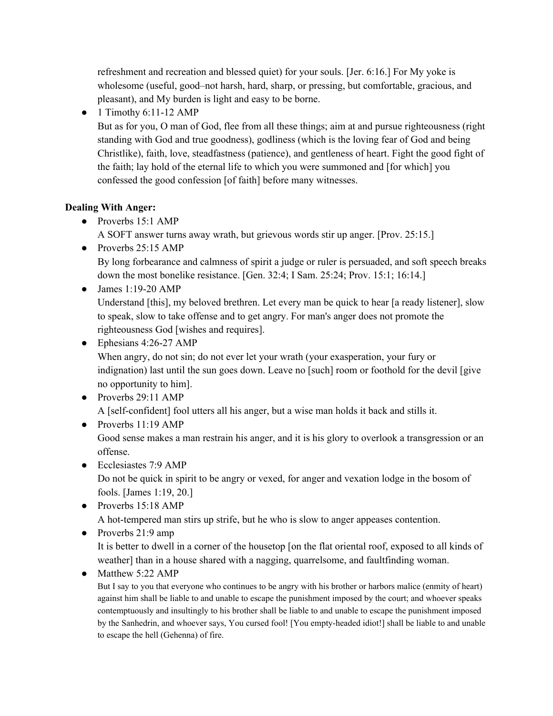refreshment and recreation and blessed quiet) for your souls. [Jer. 6:16.] For My yoke is wholesome (useful, good–not harsh, hard, sharp, or pressing, but comfortable, gracious, and pleasant), and My burden is light and easy to be borne.

 $\bullet$  1 Timothy 6:11-12 AMP

But as for you, O man of God, flee from all these things; aim at and pursue righteousness (right standing with God and true goodness), godliness (which is the loving fear of God and being Christlike), faith, love, steadfastness (patience), and gentleness of heart. Fight the good fight of the faith; lay hold of the eternal life to which you were summoned and [for which] you confessed the good confession [of faith] before many witnesses.

## **Dealing With Anger:**

- Proverbs 15:1 AMP
	- A SOFT answer turns away wrath, but grievous words stir up anger. [Prov. 25:15.]
- Proverbs 25:15 AMP By long forbearance and calmness of spirit a judge or ruler is persuaded, and soft speech breaks down the most bonelike resistance. [Gen. 32:4; I Sam. 25:24; Prov. 15:1; 16:14.]
- $\bullet$  James 1:19-20 AMP Understand [this], my beloved brethren. Let every man be quick to hear [a ready listener], slow to speak, slow to take offense and to get angry. For man's anger does not promote the righteousness God [wishes and requires].
- $\bullet$  Ephesians 4:26-27 AMP When angry, do not sin; do not ever let your wrath (your exasperation, your fury or indignation) last until the sun goes down. Leave no [such] room or foothold for the devil [give no opportunity to him].
	- Proverbs 29:11 AMP A [self-confident] fool utters all his anger, but a wise man holds it back and stills it.
	- Proverbs 11:19 AMP Good sense makes a man restrain his anger, and it is his glory to overlook a transgression or an offense.
	- Ecclesiastes 7:9 AMP Do not be quick in spirit to be angry or vexed, for anger and vexation lodge in the bosom of fools. [James 1:19, 20.]
	- Proverbs 15:18 AMP A hot-tempered man stirs up strife, but he who is slow to anger appeases contention.
	- Proverbs 21:9 amp It is better to dwell in a corner of the housetop [on the flat oriental roof, exposed to all kinds of weather] than in a house shared with a nagging, quarrelsome, and faultfinding woman.
	- Matthew 5:22 AMP

But I say to you that everyone who continues to be angry with his brother or harbors malice (enmity of heart) against him shall be liable to and unable to escape the punishment imposed by the court; and whoever speaks contemptuously and insultingly to his brother shall be liable to and unable to escape the punishment imposed by the Sanhedrin, and whoever says, You cursed fool! [You empty-headed idiot!] shall be liable to and unable to escape the hell (Gehenna) of fire.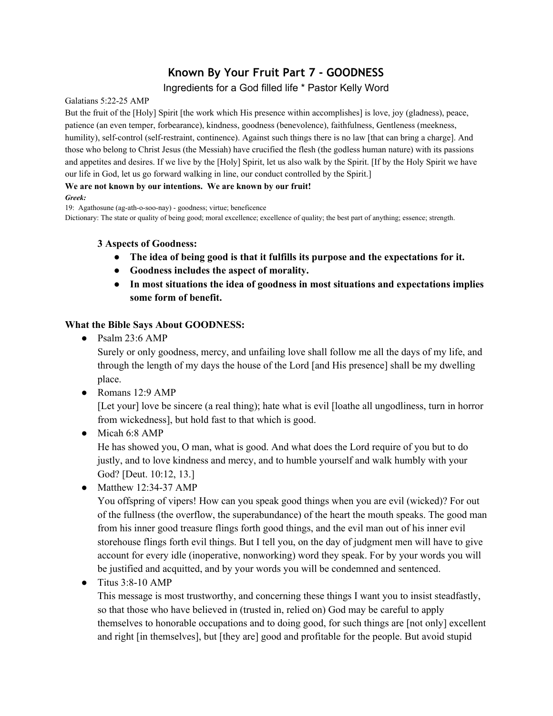# **Known By Your Fruit Part 7 - GOODNESS**

### Ingredients for a God filled life \* Pastor Kelly Word

Galatians 5:22-25 AMP

But the fruit of the [Holy] Spirit [the work which His presence within accomplishes] is love, joy (gladness), peace, patience (an even temper, forbearance), kindness, goodness (benevolence), faithfulness, Gentleness (meekness, humility), self-control (self-restraint, continence). Against such things there is no law [that can bring a charge]. And those who belong to Christ Jesus (the Messiah) have crucified the flesh (the godless human nature) with its passions and appetites and desires. If we live by the [Holy] Spirit, let us also walk by the Spirit. [If by the Holy Spirit we have our life in God, let us go forward walking in line, our conduct controlled by the Spirit.]

#### **We are not known by our intentions. We are known by our fruit!** *Greek:*

19: Agathosune (ag-ath-o-soo-nay) - goodness; virtue; beneficence

Dictionary: The state or quality of being good; moral excellence; excellence of quality; the best part of anything; essence; strength.

### **3 Aspects of Goodness:**

- **● The idea of being good is that it fulfills its purpose and the expectations for it.**
- **● Goodness includes the aspect of morality.**
- **● In most situations the idea of goodness in most situations and expectations implies some form of benefit.**

### **What the Bible Says About GOODNESS:**

 $\bullet$  Psalm 23:6 AMP

Surely or only goodness, mercy, and unfailing love shall follow me all the days of my life, and through the length of my days the house of the Lord [and His presence] shall be my dwelling place.

● Romans 12:9 AMP

[Let your] love be sincere (a real thing); hate what is evil [loathe all ungodliness, turn in horror from wickedness], but hold fast to that which is good.

• Micah 6:8 AMP

He has showed you, O man, what is good. And what does the Lord require of you but to do justly, and to love kindness and mercy, and to humble yourself and walk humbly with your God? [Deut. 10:12, 13.]

 $\bullet$  Matthew 12:34-37 AMP

You offspring of vipers! How can you speak good things when you are evil (wicked)? For out of the fullness (the overflow, the superabundance) of the heart the mouth speaks. The good man from his inner good treasure flings forth good things, and the evil man out of his inner evil storehouse flings forth evil things. But I tell you, on the day of judgment men will have to give account for every idle (inoperative, nonworking) word they speak. For by your words you will be justified and acquitted, and by your words you will be condemned and sentenced.

 $\bullet$  Titus 3:8-10 AMP

This message is most trustworthy, and concerning these things I want you to insist steadfastly, so that those who have believed in (trusted in, relied on) God may be careful to apply themselves to honorable occupations and to doing good, for such things are [not only] excellent and right [in themselves], but [they are] good and profitable for the people. But avoid stupid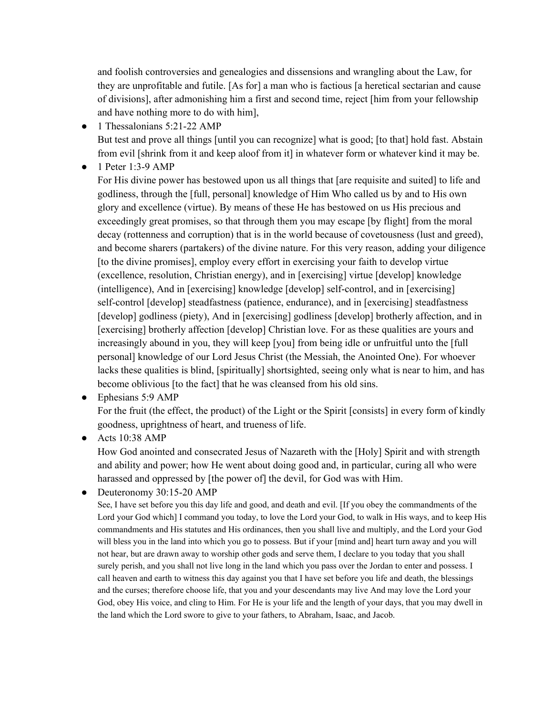and foolish controversies and genealogies and dissensions and wrangling about the Law, for they are unprofitable and futile. [As for] a man who is factious [a heretical sectarian and cause of divisions], after admonishing him a first and second time, reject [him from your fellowship and have nothing more to do with him],

 $\bullet$  1 Thessalonians 5:21-22 AMP

But test and prove all things [until you can recognize] what is good; [to that] hold fast. Abstain from evil [shrink from it and keep aloof from it] in whatever form or whatever kind it may be.

 $\bullet$  1 Peter 1:3-9 AMP

For His divine power has bestowed upon us all things that [are requisite and suited] to life and godliness, through the [full, personal] knowledge of Him Who called us by and to His own glory and excellence (virtue). By means of these He has bestowed on us His precious and exceedingly great promises, so that through them you may escape [by flight] from the moral decay (rottenness and corruption) that is in the world because of covetousness (lust and greed), and become sharers (partakers) of the divine nature. For this very reason, adding your diligence [to the divine promises], employ every effort in exercising your faith to develop virtue (excellence, resolution, Christian energy), and in [exercising] virtue [develop] knowledge (intelligence), And in [exercising] knowledge [develop] self-control, and in [exercising] self-control [develop] steadfastness (patience, endurance), and in [exercising] steadfastness [develop] godliness (piety), And in [exercising] godliness [develop] brotherly affection, and in [exercising] brotherly affection [develop] Christian love. For as these qualities are yours and increasingly abound in you, they will keep [you] from being idle or unfruitful unto the [full personal] knowledge of our Lord Jesus Christ (the Messiah, the Anointed One). For whoever lacks these qualities is blind, [spiritually] shortsighted, seeing only what is near to him, and has become oblivious [to the fact] that he was cleansed from his old sins.

● Ephesians 5:9 AMP

For the fruit (the effect, the product) of the Light or the Spirit [consists] in every form of kindly goodness, uprightness of heart, and trueness of life.

 $\bullet$  Acts 10:38 AMP

How God anointed and consecrated Jesus of Nazareth with the [Holy] Spirit and with strength and ability and power; how He went about doing good and, in particular, curing all who were harassed and oppressed by [the power of] the devil, for God was with Him.

• Deuteronomy 30:15-20 AMP

See, I have set before you this day life and good, and death and evil. [If you obey the commandments of the Lord your God which] I command you today, to love the Lord your God, to walk in His ways, and to keep His commandments and His statutes and His ordinances, then you shall live and multiply, and the Lord your God will bless you in the land into which you go to possess. But if your [mind and] heart turn away and you will not hear, but are drawn away to worship other gods and serve them, I declare to you today that you shall surely perish, and you shall not live long in the land which you pass over the Jordan to enter and possess. I call heaven and earth to witness this day against you that I have set before you life and death, the blessings and the curses; therefore choose life, that you and your descendants may live And may love the Lord your God, obey His voice, and cling to Him. For He is your life and the length of your days, that you may dwell in the land which the Lord swore to give to your fathers, to Abraham, Isaac, and Jacob.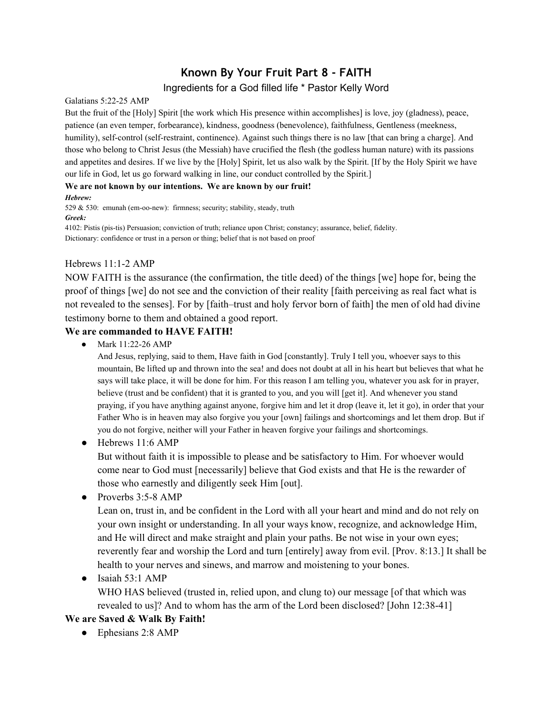# **Known By Your Fruit Part 8 - FAITH**

### Ingredients for a God filled life \* Pastor Kelly Word

#### Galatians 5:22-25 AMP

But the fruit of the [Holy] Spirit [the work which His presence within accomplishes] is love, joy (gladness), peace, patience (an even temper, forbearance), kindness, goodness (benevolence), faithfulness, Gentleness (meekness, humility), self-control (self-restraint, continence). Against such things there is no law [that can bring a charge]. And those who belong to Christ Jesus (the Messiah) have crucified the flesh (the godless human nature) with its passions and appetites and desires. If we live by the [Holy] Spirit, let us also walk by the Spirit. [If by the Holy Spirit we have our life in God, let us go forward walking in line, our conduct controlled by the Spirit.]

#### **We are not known by our intentions. We are known by our fruit!** *Hebrew:*

529  $&$  530: emunah (em-oo-new): firmness; security; stability, steady, truth *Greek:*

4102: Pistis (pistis) Persuasion; conviction of truth; reliance upon Christ; constancy; assurance, belief, fidelity. Dictionary: confidence or trust in a person or thing; belief that is not based on proof

### Hebrews 11:1-2 AMP

NOW FAITH is the assurance (the confirmation, the title deed) of the things [we] hope for, being the proof of things [we] do not see and the conviction of their reality [faith perceiving as real fact what is not revealed to the senses]. For by [faith–trust and holy fervor born of faith] the men of old had divine testimony borne to them and obtained a good report.

### **We are commanded to HAVE FAITH!**

• Mark 11:22-26 AMP

And Jesus, replying, said to them, Have faith in God [constantly]. Truly I tell you, whoever says to this mountain, Be lifted up and thrown into the sea! and does not doubt at all in his heart but believes that what he says will take place, it will be done for him. For this reason I am telling you, whatever you ask for in prayer, believe (trust and be confident) that it is granted to you, and you will [get it]. And whenever you stand praying, if you have anything against anyone, forgive him and let it drop (leave it, let it go), in order that your Father Who is in heaven may also forgive you your [own] failings and shortcomings and let them drop. But if you do not forgive, neither will your Father in heaven forgive your failings and shortcomings.

### ● Hebrews 11:6 AMP

But without faith it is impossible to please and be satisfactory to Him. For whoever would come near to God must [necessarily] believe that God exists and that He is the rewarder of those who earnestly and diligently seek Him [out].

 $\bullet$  Proverbs 3:5-8 AMP

Lean on, trust in, and be confident in the Lord with all your heart and mind and do not rely on your own insight or understanding. In all your ways know, recognize, and acknowledge Him, and He will direct and make straight and plain your paths. Be not wise in your own eyes; reverently fear and worship the Lord and turn [entirely] away from evil. [Prov. 8:13.] It shall be health to your nerves and sinews, and marrow and moistening to your bones.

### $\bullet$  Isaiah 53:1 AMP

WHO HAS believed (trusted in, relied upon, and clung to) our message [of that which was revealed to us]? And to whom has the arm of the Lord been disclosed? [John 12:3841]

### **We are Saved & Walk By Faith!**

● Ephesians 2:8 AMP